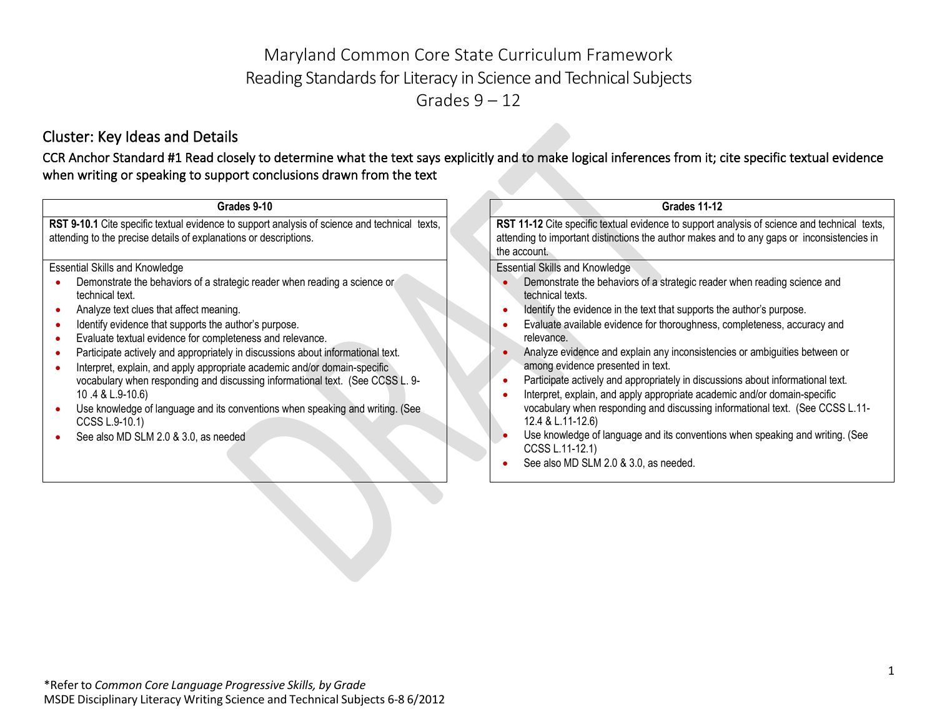# Maryland Common Core State Curriculum Framework Reading Standards for Literacy in Science and Technical Subjects Grades  $9 - 12$

# Cluster: Key Ideas and Details

CCR Anchor Standard #1 Read closely to determine what the text says explicitly and to make logical inferences from it; cite specific textual evidence when writing or speaking to support conclusions drawn from the text

| Grades 9-10                                                                                                                                                                                                                                                                                                                                                                                                                                                                                                                                                                                                                                                                                                            | <b>Grades 11-12</b>                                                                                                                                                                                                                                                                                                                                                                                                                                                                                                                                                                                                                                                                                                                                                                                                                            |
|------------------------------------------------------------------------------------------------------------------------------------------------------------------------------------------------------------------------------------------------------------------------------------------------------------------------------------------------------------------------------------------------------------------------------------------------------------------------------------------------------------------------------------------------------------------------------------------------------------------------------------------------------------------------------------------------------------------------|------------------------------------------------------------------------------------------------------------------------------------------------------------------------------------------------------------------------------------------------------------------------------------------------------------------------------------------------------------------------------------------------------------------------------------------------------------------------------------------------------------------------------------------------------------------------------------------------------------------------------------------------------------------------------------------------------------------------------------------------------------------------------------------------------------------------------------------------|
| RST 9-10.1 Cite specific textual evidence to support analysis of science and technical texts,<br>attending to the precise details of explanations or descriptions.                                                                                                                                                                                                                                                                                                                                                                                                                                                                                                                                                     | RST 11-12 Cite specific textual evidence to support analysis of science and technical texts,<br>attending to important distinctions the author makes and to any gaps or inconsistencies in<br>the account.                                                                                                                                                                                                                                                                                                                                                                                                                                                                                                                                                                                                                                     |
| <b>Essential Skills and Knowledge</b><br>Demonstrate the behaviors of a strategic reader when reading a science or<br>technical text.<br>Analyze text clues that affect meaning.<br>Identify evidence that supports the author's purpose.<br>Evaluate textual evidence for completeness and relevance.<br>Participate actively and appropriately in discussions about informational text.<br>Interpret, explain, and apply appropriate academic and/or domain-specific<br>vocabulary when responding and discussing informational text. (See CCSS L. 9-<br>10.4 & L.9-10.6)<br>Use knowledge of language and its conventions when speaking and writing. (See<br>CCSS L.9-10.1)<br>See also MD SLM 2.0 & 3.0, as needed | <b>Essential Skills and Knowledge</b><br>Demonstrate the behaviors of a strategic reader when reading science and<br>technical texts.<br>Identify the evidence in the text that supports the author's purpose.<br>Evaluate available evidence for thoroughness, completeness, accuracy and<br>relevance.<br>Analyze evidence and explain any inconsistencies or ambiguities between or<br>among evidence presented in text.<br>Participate actively and appropriately in discussions about informational text.<br>Interpret, explain, and apply appropriate academic and/or domain-specific<br>vocabulary when responding and discussing informational text. (See CCSS L.11-<br>12.4 & L.11-12.6)<br>Use knowledge of language and its conventions when speaking and writing. (See<br>CCSS L.11-12.1)<br>See also MD SLM 2.0 & 3.0, as needed. |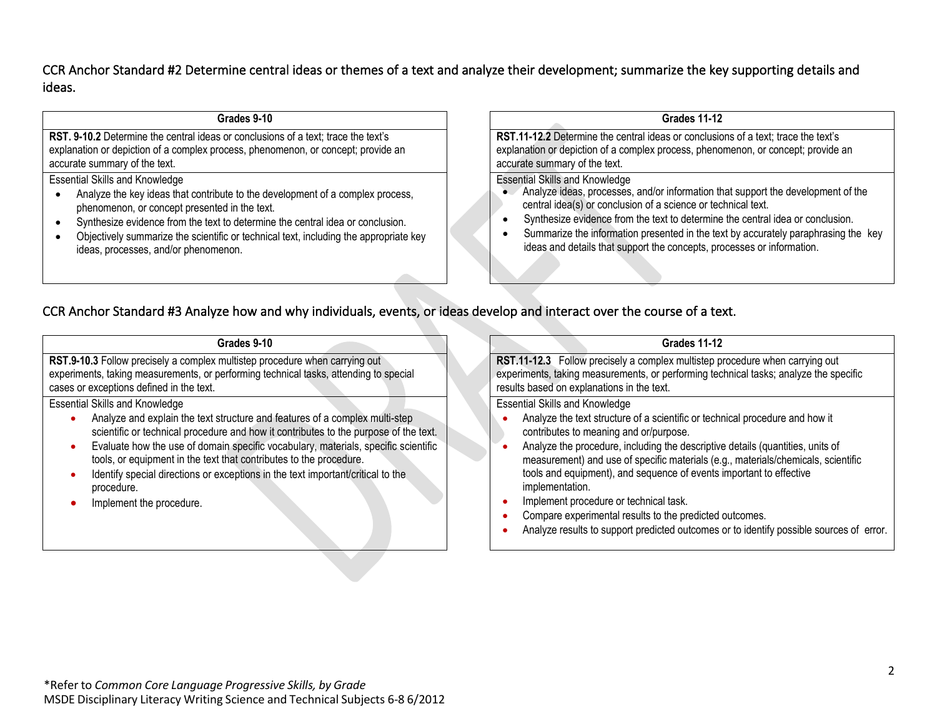## CCR Anchor Standard #2 Determine central ideas or themes of a text and analyze their development; summarize the key supporting details and ideas.

| Grades 9-10                                                                                                                                                                                              |  |  |
|----------------------------------------------------------------------------------------------------------------------------------------------------------------------------------------------------------|--|--|
| RST. 9-10.2 Determine the central ideas or conclusions of a text; trace the text's<br>explanation or depiction of a complex process, phenomenon, or concept; provide an<br>accurate summary of the text. |  |  |
| <b>Essential Skills and Knowledge</b>                                                                                                                                                                    |  |  |
| Analyze the key ideas that contribute to the development of a complex process,<br>$\bullet$<br>phenomenon, or concept presented in the text.                                                             |  |  |

- Synthesize evidence from the text to determine the central idea or conclusion.
- Objectively summarize the scientific or technical text, including the appropriate key ideas, processes, and/or phenomenon.

### **Grades 11-12**

**RST.11-12.2** Determine the central ideas or conclusions of a text; trace the text's explanation or depiction of a complex process, phenomenon, or concept; provide an accurate summary of the text.

#### Essential Skills and Knowledge

- Analyze ideas, processes, and/or information that support the development of the central idea(s) or conclusion of a science or technical text.
- Synthesize evidence from the text to determine the central idea or conclusion.
- Summarize the information presented in the text by accurately paraphrasing the key ideas and details that support the concepts, processes or information.

## CCR Anchor Standard #3 Analyze how and why individuals, events, or ideas develop and interact over the course of a text.

| Grades 9-10                                                                                                                                                                                                      |  |  |
|------------------------------------------------------------------------------------------------------------------------------------------------------------------------------------------------------------------|--|--|
| RST.9-10.3 Follow precisely a complex multistep procedure when carrying out<br>experiments, taking measurements, or performing technical tasks, attending to special<br>cases or exceptions defined in the text. |  |  |
| <b>Essential Skills and Knowledge</b>                                                                                                                                                                            |  |  |
| Analyze and explain the text structure and features of a complex multi-step<br>scientific or technical procedure and how it contributes to the purpose of the text.                                              |  |  |
| Evaluate how the use of domain specific vocabulary, materials, specific scientific<br>۰<br>tools, or equipment in the text that contributes to the procedure.                                                    |  |  |
| Identify special directions or exceptions in the text important/critical to the<br>۰<br>procedure.                                                                                                               |  |  |
| Implement the procedure.                                                                                                                                                                                         |  |  |

#### **Grades 11-12**

**RST.11-12.3** Follow precisely a complex multistep procedure when carrying out experiments, taking measurements, or performing technical tasks; analyze the specific results based on explanations in the text.

- Analyze the text structure of a scientific or technical procedure and how it contributes to meaning and or/purpose.
- Analyze the procedure, including the descriptive details (quantities, units of measurement) and use of specific materials (e.g., materials/chemicals, scientific tools and equipment), and sequence of events important to effective implementation.
- Implement procedure or technical task.
- Compare experimental results to the predicted outcomes.
- Analyze results to support predicted outcomes or to identify possible sources of error.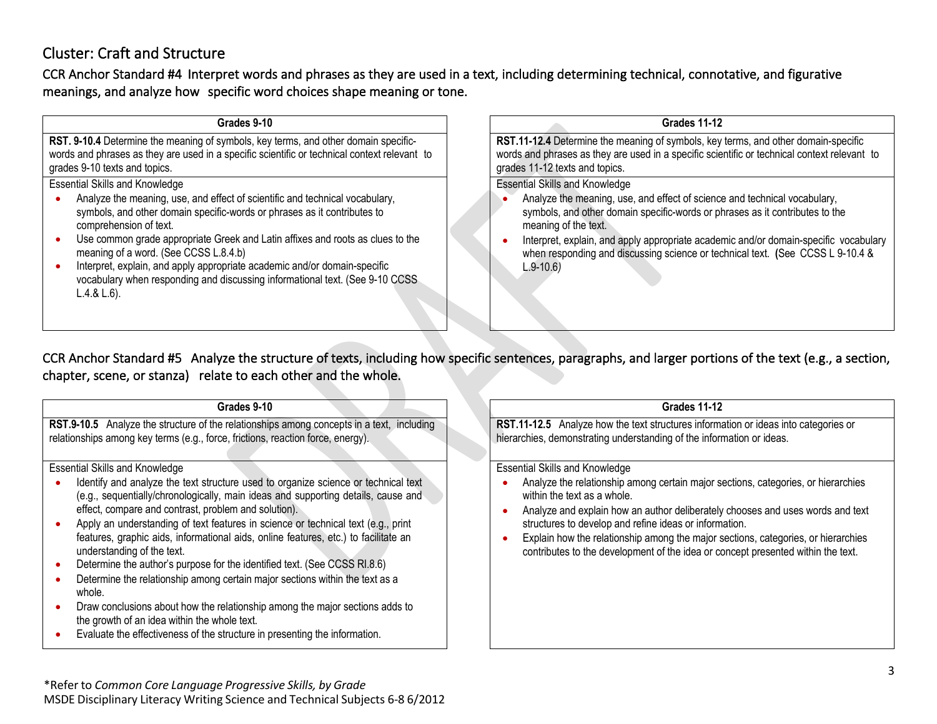# Cluster: Craft and Structure

CCR Anchor Standard #4 Interpret words and phrases as they are used in a text, including determining technical, connotative, and figurative meanings, and analyze how specific word choices shape meaning or tone.

| Grades 9-10                                                                                                                                                                                                                                                                                                                                                                                                                                                                                 | <b>Grades 11-12</b>                                                                                                                                                                                                                                                                                                                                                         |
|---------------------------------------------------------------------------------------------------------------------------------------------------------------------------------------------------------------------------------------------------------------------------------------------------------------------------------------------------------------------------------------------------------------------------------------------------------------------------------------------|-----------------------------------------------------------------------------------------------------------------------------------------------------------------------------------------------------------------------------------------------------------------------------------------------------------------------------------------------------------------------------|
| RST. 9-10.4 Determine the meaning of symbols, key terms, and other domain specific-<br>words and phrases as they are used in a specific scientific or technical context relevant to<br>grades 9-10 texts and topics.                                                                                                                                                                                                                                                                        | RST.11-12.4 Determine the meaning of symbols, key terms, and other domain-specific<br>words and phrases as they are used in a specific scientific or technical context relevant to<br>grades 11-12 texts and topics.                                                                                                                                                        |
| <b>Essential Skills and Knowledge</b>                                                                                                                                                                                                                                                                                                                                                                                                                                                       | <b>Essential Skills and Knowledge</b>                                                                                                                                                                                                                                                                                                                                       |
| Analyze the meaning, use, and effect of scientific and technical vocabulary,<br>symbols, and other domain specific-words or phrases as it contributes to<br>comprehension of text.<br>Use common grade appropriate Greek and Latin affixes and roots as clues to the<br>meaning of a word. (See CCSS L.8.4.b)<br>Interpret, explain, and apply appropriate academic and/or domain-specific<br>vocabulary when responding and discussing informational text. (See 9-10 CCSS<br>$L.4.8 L.6$ . | Analyze the meaning, use, and effect of science and technical vocabulary,<br>symbols, and other domain specific-words or phrases as it contributes to the<br>meaning of the text.<br>Interpret, explain, and apply appropriate academic and/or domain-specific vocabulary<br>when responding and discussing science or technical text. (See CCSS L 9-10.4 &<br>$L.9 - 10.6$ |

CCR Anchor Standard #5 Analyze the structure of texts, including how specific sentences, paragraphs, and larger portions of the text (e.g., a section, chapter, scene, or stanza) relate to each other and the whole.

| Grades 9-10                                                                                                                                                                                                                                                                                                                                                                                                                                                                                                                                                                                                                                                                                                                                                                                                                                                             | <b>Grades 11-12</b>                                                                                                                                                                                                                                                                                                                                                                                                                                                            |
|-------------------------------------------------------------------------------------------------------------------------------------------------------------------------------------------------------------------------------------------------------------------------------------------------------------------------------------------------------------------------------------------------------------------------------------------------------------------------------------------------------------------------------------------------------------------------------------------------------------------------------------------------------------------------------------------------------------------------------------------------------------------------------------------------------------------------------------------------------------------------|--------------------------------------------------------------------------------------------------------------------------------------------------------------------------------------------------------------------------------------------------------------------------------------------------------------------------------------------------------------------------------------------------------------------------------------------------------------------------------|
| RST.9-10.5 Analyze the structure of the relationships among concepts in a text, including<br>relationships among key terms (e.g., force, frictions, reaction force, energy).                                                                                                                                                                                                                                                                                                                                                                                                                                                                                                                                                                                                                                                                                            | RST.11-12.5 Analyze how the text structures information or ideas into categories or<br>hierarchies, demonstrating understanding of the information or ideas.                                                                                                                                                                                                                                                                                                                   |
| <b>Essential Skills and Knowledge</b><br>Identify and analyze the text structure used to organize science or technical text<br>(e.g., sequentially/chronologically, main ideas and supporting details, cause and<br>effect, compare and contrast, problem and solution).<br>Apply an understanding of text features in science or technical text (e.g., print<br>features, graphic aids, informational aids, online features, etc.) to facilitate an<br>understanding of the text.<br>Determine the author's purpose for the identified text. (See CCSS RI.8.6)<br>Determine the relationship among certain major sections within the text as a<br>whole.<br>Draw conclusions about how the relationship among the major sections adds to<br>the growth of an idea within the whole text.<br>Evaluate the effectiveness of the structure in presenting the information. | <b>Essential Skills and Knowledge</b><br>Analyze the relationship among certain major sections, categories, or hierarchies<br>within the text as a whole.<br>Analyze and explain how an author deliberately chooses and uses words and text<br>structures to develop and refine ideas or information.<br>Explain how the relationship among the major sections, categories, or hierarchies<br>contributes to the development of the idea or concept presented within the text. |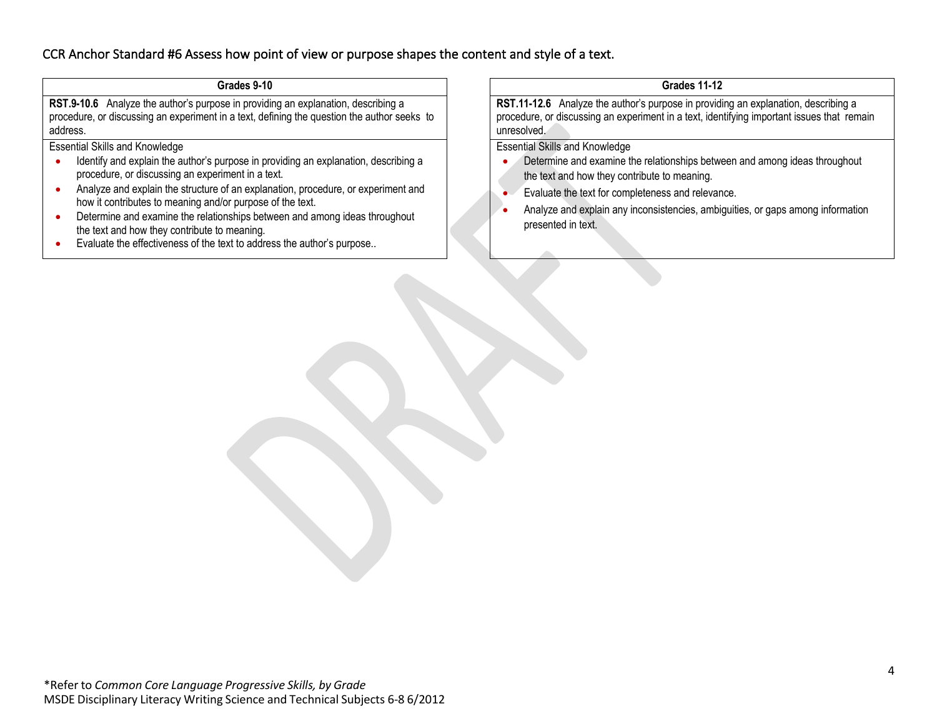## CCR Anchor Standard #6 Assess how point of view or purpose shapes the content and style of a text.

### **Grades 9-10**

**RST.9-10.6** Analyze the author's purpose in providing an explanation, describing a procedure, or discussing an experiment in a text, defining the question the author seeks to address.

Essential Skills and Knowledge

- Identify and explain the author's purpose in providing an explanation, describing a procedure, or discussing an experiment in a text.
- Analyze and explain the structure of an explanation, procedure, or experiment and how it contributes to meaning and/or purpose of the text.
- Determine and examine the relationships between and among ideas throughout the text and how they contribute to meaning.
- Evaluate the effectiveness of the text to address the author's purpose..

**Grades 11-12**

**RST.11-12.6** Analyze the author's purpose in providing an explanation, describing a procedure, or discussing an experiment in a text, identifying important issues that remain unresolved.

- Determine and examine the relationships between and among ideas throughout the text and how they contribute to meaning.
- Evaluate the text for completeness and relevance.
- Analyze and explain any inconsistencies, ambiguities, or gaps among information presented in text.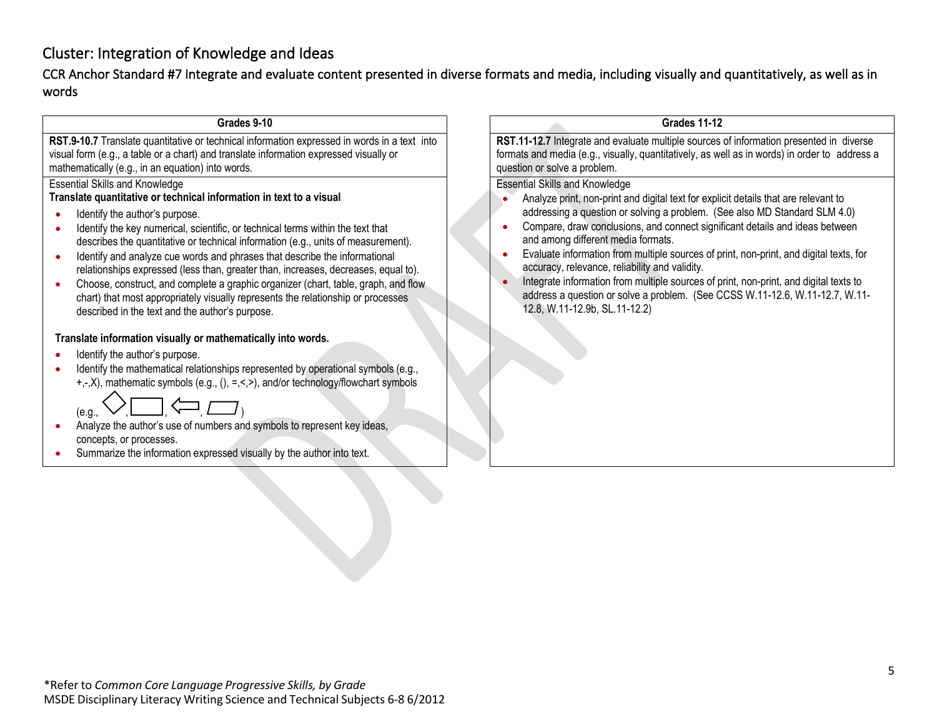# Cluster: Integration of Knowledge and Ideas

CCR Anchor Standard #7 Integrate and evaluate content presented in diverse formats and media, including visually and quantitatively, as well as in words

#### **Grades 9-10**

**RST.9-10.7** Translate quantitative or technical information expressed in words in a text into visual form (e.g., a table or a chart) and translate information expressed visually or mathematically (e.g., in an equation) into words.

## Essential Skills and Knowledge

## **Translate quantitative or technical information in text to a visual**

- Identify the author's purpose.
- Identify the key numerical, scientific, or technical terms within the text that describes the quantitative or technical information (e.g., units of measurement).
- Identify and analyze cue words and phrases that describe the informational relationships expressed (less than, greater than, increases, decreases, equal to).
- Choose, construct, and complete a graphic organizer (chart, table, graph, and flow chart) that most appropriately visually represents the relationship or processes described in the text and the author's purpose.

### **Translate information visually or mathematically into words.**

- Identify the author's purpose.
- Identify the mathematical relationships represented by operational symbols (e.g., +,-,X), mathematic symbols (e.g., (), =,<,>), and/or technology/flowchart symbols



- Analyze the author's use of numbers and symbols to represent key ideas, concepts, or processes.
- Summarize the information expressed visually by the author into text.

## **Grades 11-12**

**RST.11-12.7** Integrate and evaluate multiple sources of information presented in diverse formats and media (e.g., visually, quantitatively, as well as in words) in order to address a question or solve a problem.

- Analyze print, non-print and digital text for explicit details that are relevant to addressing a question or solving a problem. (See also MD Standard SLM 4.0)
- Compare, draw conclusions, and connect significant details and ideas between and among different media formats.
- Evaluate information from multiple sources of print, non-print, and digital texts, for accuracy, relevance, reliability and validity.
- Integrate information from multiple sources of print, non-print, and digital texts to address a question or solve a problem. (See CCSS W.11-12.6, W.11-12.7, W.11- 12.8, W.11-12.9b, SL.11-12.2)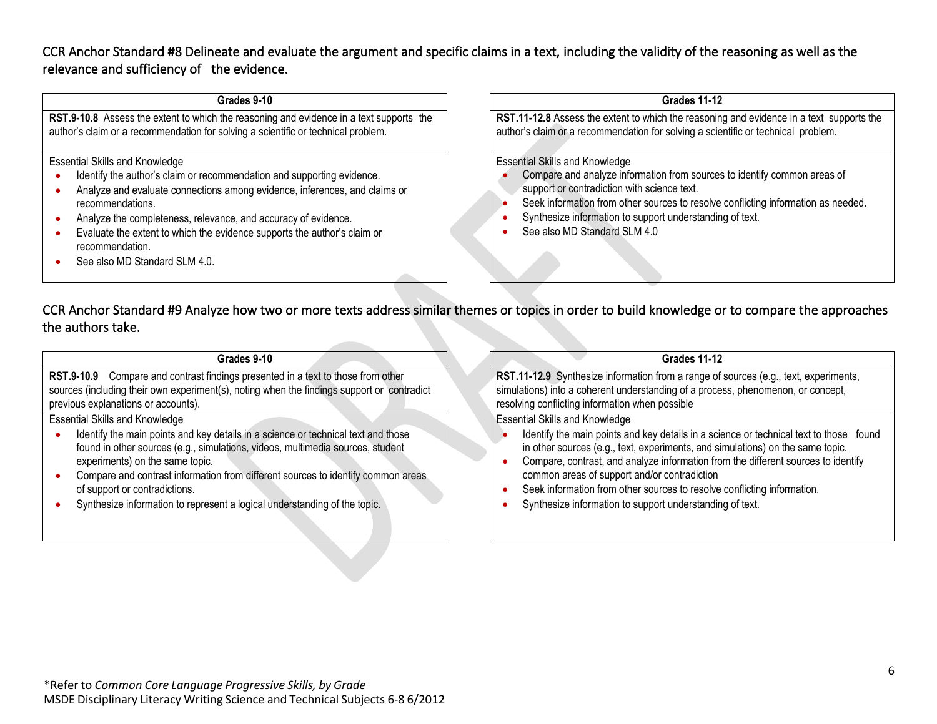CCR Anchor Standard #8 Delineate and evaluate the argument and specific claims in a text, including the validity of the reasoning as well as the relevance and sufficiency of the evidence.

#### **Grades 9-10**

**RST.9-10.8** Assess the extent to which the reasoning and evidence in a text supports the author's claim or a recommendation for solving a scientific or technical problem.

#### Essential Skills and Knowledge

- Identify the author's claim or recommendation and supporting evidence.
- Analyze and evaluate connections among evidence, inferences, and claims or recommendations.
- Analyze the completeness, relevance, and accuracy of evidence.
- Evaluate the extent to which the evidence supports the author's claim or recommendation.
- See also MD Standard SLM 4.0.

#### **Grades 11-12**

**RST.11-12.8** Assess the extent to which the reasoning and evidence in a text supports the author's claim or a recommendation for solving a scientific or technical problem.

Essential Skills and Knowledge

- Compare and analyze information from sources to identify common areas of support or contradiction with science text.
- Seek information from other sources to resolve conflicting information as needed.
- Synthesize information to support understanding of text.
- See also MD Standard SLM 4.0

CCR Anchor Standard #9 Analyze how two or more texts address similar themes or topics in order to build knowledge or to compare the approaches the authors take.

#### **Grades 9-10**

**RST.9-10.9** Compare and contrast findings presented in a text to those from other sources (including their own experiment(s), noting when the findings support or contradict previous explanations or accounts).

Essential Skills and Knowledge

- Identify the main points and key details in a science or technical text and those found in other sources (e.g., simulations, videos, multimedia sources, student experiments) on the same topic.
- Compare and contrast information from different sources to identify common areas of support or contradictions.
- Synthesize information to represent a logical understanding of the topic.

## **Grades 11-12**

**RST.11-12.9** Synthesize information from a range of sources (e.g., text, experiments, simulations) into a coherent understanding of a process, phenomenon, or concept, resolving conflicting information when possible

- Identify the main points and key details in a science or technical text to those found in other sources (e.g., text, experiments, and simulations) on the same topic.
- Compare, contrast, and analyze information from the different sources to identify common areas of support and/or contradiction
- Seek information from other sources to resolve conflicting information.
- Synthesize information to support understanding of text.